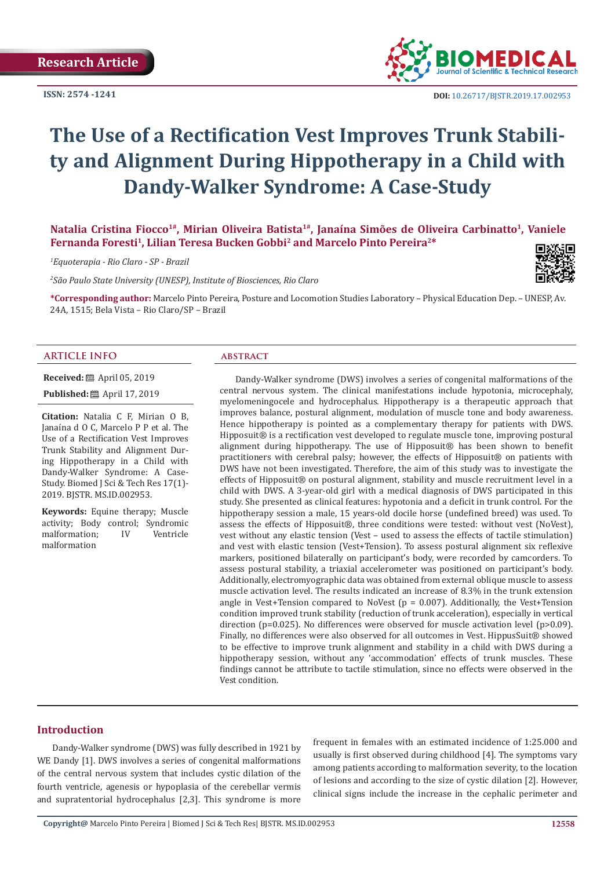**ISSN: 2574 -1241**



# **The Use of a Rectification Vest Improves Trunk Stability and Alignment During Hippotherapy in a Child with Dandy-Walker Syndrome: A Case-Study**

**Natalia Cristina Fiocco1#, Mirian Oliveira Batista1#, Janaína Simões de Oliveira Carbinatto<sup>1</sup>, Vaniele Fernanda Foresti<sup>1</sup>, Lilian Teresa Bucken Gobbi<sup>2</sup> and Marcelo Pinto Pereira2\***

*1 Equoterapia - Rio Claro - SP - Brazil*

*2 São Paulo State University (UNESP), Institute of Biosciences, Rio Claro*



**\*Corresponding author:** Marcelo Pinto Pereira, Posture and Locomotion Studies Laboratory – Physical Education Dep. – UNESP, Av. 24A, 1515; Bela Vista – Rio Claro/SP – Brazil

### **ARTICLE INFO abstract**

**Received:** ■ April 05, 2019 **Published:** ■ April 17, 2019

**Citation:** Natalia C F, Mirian O B, Janaína d O C, Marcelo P P et al. The Use of a Rectification Vest Improves Trunk Stability and Alignment During Hippotherapy in a Child with Dandy-Walker Syndrome: A Case-Study. Biomed J Sci & Tech Res 17(1)- 2019. BJSTR. MS.ID.002953.

**Keywords:** Equine therapy; Muscle activity; Body control; Syndromic<br>malformation: IV Ventricle malformation; malformation

Dandy-Walker syndrome (DWS) involves a series of congenital malformations of the central nervous system. The clinical manifestations include hypotonia, microcephaly, myelomeningocele and hydrocephalus. Hippotherapy is a therapeutic approach that improves balance, postural alignment, modulation of muscle tone and body awareness. Hence hippotherapy is pointed as a complementary therapy for patients with DWS. Hipposuit® is a rectification vest developed to regulate muscle tone, improving postural alignment during hippotherapy. The use of Hipposuit® has been shown to benefit practitioners with cerebral palsy; however, the effects of Hipposuit® on patients with DWS have not been investigated. Therefore, the aim of this study was to investigate the effects of Hipposuit® on postural alignment, stability and muscle recruitment level in a child with DWS. A 3-year-old girl with a medical diagnosis of DWS participated in this study. She presented as clinical features: hypotonia and a deficit in trunk control. For the hippotherapy session a male, 15 years-old docile horse (undefined breed) was used. To assess the effects of Hipposuit®, three conditions were tested: without vest (NoVest), vest without any elastic tension (Vest – used to assess the effects of tactile stimulation) and vest with elastic tension (Vest+Tension). To assess postural alignment six reflexive markers, positioned bilaterally on participant's body, were recorded by camcorders. To assess postural stability, a triaxial accelerometer was positioned on participant's body. Additionally, electromyographic data was obtained from external oblique muscle to assess muscle activation level. The results indicated an increase of 8.3% in the trunk extension angle in Vest+Tension compared to NoVest ( $p = 0.007$ ). Additionally, the Vest+Tension condition improved trunk stability (reduction of trunk acceleration), especially in vertical direction ( $p=0.025$ ). No differences were observed for muscle activation level ( $p>0.09$ ). Finally, no differences were also observed for all outcomes in Vest. HippusSuit® showed to be effective to improve trunk alignment and stability in a child with DWS during a hippotherapy session, without any 'accommodation' effects of trunk muscles. These findings cannot be attribute to tactile stimulation, since no effects were observed in the Vest condition.

# **Introduction**

Dandy-Walker syndrome (DWS) was fully described in 1921 by WE Dandy [1]. DWS involves a series of congenital malformations of the central nervous system that includes cystic dilation of the fourth ventricle, agenesis or hypoplasia of the cerebellar vermis and supratentorial hydrocephalus [2,3]. This syndrome is more frequent in females with an estimated incidence of 1:25.000 and usually is first observed during childhood [4]. The symptoms vary among patients according to malformation severity, to the location of lesions and according to the size of cystic dilation [2]. However, clinical signs include the increase in the cephalic perimeter and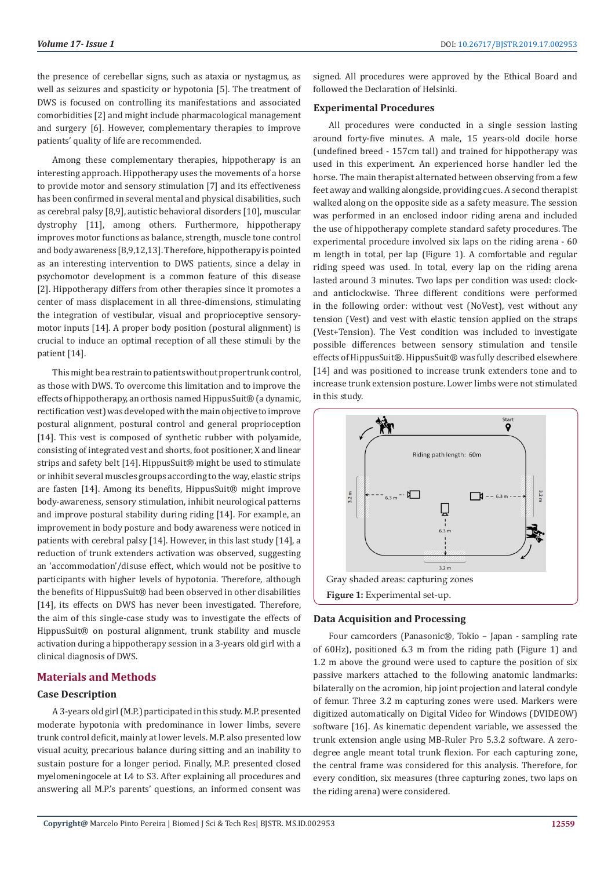the presence of cerebellar signs, such as ataxia or nystagmus, as well as seizures and spasticity or hypotonia [5]. The treatment of DWS is focused on controlling its manifestations and associated comorbidities [2] and might include pharmacological management and surgery [6]. However, complementary therapies to improve patients' quality of life are recommended.

Among these complementary therapies, hippotherapy is an interesting approach. Hippotherapy uses the movements of a horse to provide motor and sensory stimulation [7] and its effectiveness has been confirmed in several mental and physical disabilities, such as cerebral palsy [8,9], autistic behavioral disorders [10], muscular dystrophy [11], among others. Furthermore, hippotherapy improves motor functions as balance, strength, muscle tone control and body awareness [8,9,12,13]. Therefore, hippotherapy is pointed as an interesting intervention to DWS patients, since a delay in psychomotor development is a common feature of this disease [2]. Hippotherapy differs from other therapies since it promotes a center of mass displacement in all three-dimensions, stimulating the integration of vestibular, visual and proprioceptive sensorymotor inputs [14]. A proper body position (postural alignment) is crucial to induce an optimal reception of all these stimuli by the patient [14].

This might be a restrain to patients without proper trunk control, as those with DWS. To overcome this limitation and to improve the effects of hippotherapy, an orthosis named HippusSuit® (a dynamic, rectification vest) was developed with the main objective to improve postural alignment, postural control and general proprioception [14]. This vest is composed of synthetic rubber with polyamide, consisting of integrated vest and shorts, foot positioner, X and linear strips and safety belt [14]. HippusSuit® might be used to stimulate or inhibit several muscles groups according to the way, elastic strips are fasten [14]. Among its benefits, HippusSuit® might improve body-awareness, sensory stimulation, inhibit neurological patterns and improve postural stability during riding [14]. For example, an improvement in body posture and body awareness were noticed in patients with cerebral palsy [14]. However, in this last study [14], a reduction of trunk extenders activation was observed, suggesting an 'accommodation'/disuse effect, which would not be positive to participants with higher levels of hypotonia. Therefore, although the benefits of HippusSuit® had been observed in other disabilities [14], its effects on DWS has never been investigated. Therefore, the aim of this single-case study was to investigate the effects of HippusSuit® on postural alignment, trunk stability and muscle activation during a hippotherapy session in a 3-years old girl with a clinical diagnosis of DWS.

# **Materials and Methods**

# **Case Description**

A 3-years old girl (M.P.) participated in this study. M.P. presented moderate hypotonia with predominance in lower limbs, severe trunk control deficit, mainly at lower levels. M.P. also presented low visual acuity, precarious balance during sitting and an inability to sustain posture for a longer period. Finally, M.P. presented closed myelomeningocele at L4 to S3. After explaining all procedures and answering all M.P.'s parents' questions, an informed consent was signed. All procedures were approved by the Ethical Board and followed the Declaration of Helsinki.

# **Experimental Procedures**

All procedures were conducted in a single session lasting around forty-five minutes. A male, 15 years-old docile horse (undefined breed - 157cm tall) and trained for hippotherapy was used in this experiment. An experienced horse handler led the horse. The main therapist alternated between observing from a few feet away and walking alongside, providing cues. A second therapist walked along on the opposite side as a safety measure. The session was performed in an enclosed indoor riding arena and included the use of hippotherapy complete standard safety procedures. The experimental procedure involved six laps on the riding arena - 60 m length in total, per lap (Figure 1). A comfortable and regular riding speed was used. In total, every lap on the riding arena lasted around 3 minutes. Two laps per condition was used: clockand anticlockwise. Three different conditions were performed in the following order: without vest (NoVest), vest without any tension (Vest) and vest with elastic tension applied on the straps (Vest+Tension). The Vest condition was included to investigate possible differences between sensory stimulation and tensile effects of HippusSuit®. HippusSuit® was fully described elsewhere [14] and was positioned to increase trunk extenders tone and to increase trunk extension posture. Lower limbs were not stimulated in this study.



### **Data Acquisition and Processing**

Four camcorders (Panasonic®, Tokio – Japan - sampling rate of 60Hz), positioned 6.3 m from the riding path (Figure 1) and 1.2 m above the ground were used to capture the position of six passive markers attached to the following anatomic landmarks: bilaterally on the acromion, hip joint projection and lateral condyle of femur. Three 3.2 m capturing zones were used. Markers were digitized automatically on Digital Video for Windows (DVIDEOW) software [16]. As kinematic dependent variable, we assessed the trunk extension angle using MB-Ruler Pro 5.3.2 software. A zerodegree angle meant total trunk flexion. For each capturing zone, the central frame was considered for this analysis. Therefore, for every condition, six measures (three capturing zones, two laps on the riding arena) were considered.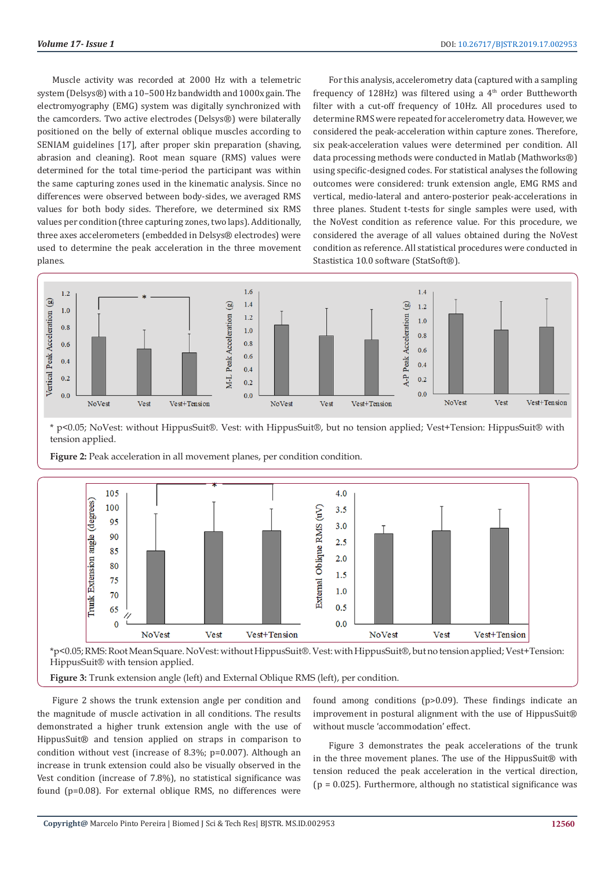Muscle activity was recorded at 2000 Hz with a telemetric system (Delsys®) with a 10–500 Hz bandwidth and 1000x gain. The electromyography (EMG) system was digitally synchronized with the camcorders. Two active electrodes (Delsys®) were bilaterally positioned on the belly of external oblique muscles according to SENIAM guidelines [17], after proper skin preparation (shaving, abrasion and cleaning). Root mean square (RMS) values were determined for the total time-period the participant was within the same capturing zones used in the kinematic analysis. Since no differences were observed between body-sides, we averaged RMS values for both body sides. Therefore, we determined six RMS values per condition (three capturing zones, two laps). Additionally, three axes accelerometers (embedded in Delsys® electrodes) were used to determine the peak acceleration in the three movement planes.

For this analysis, accelerometry data (captured with a sampling frequency of 128Hz) was filtered using a  $4<sup>th</sup>$  order Buttheworth filter with a cut-off frequency of 10Hz. All procedures used to determine RMS were repeated for accelerometry data. However, we considered the peak-acceleration within capture zones. Therefore, six peak-acceleration values were determined per condition. All data processing methods were conducted in Matlab (Mathworks®) using specific-designed codes. For statistical analyses the following outcomes were considered: trunk extension angle, EMG RMS and vertical, medio-lateral and antero-posterior peak-accelerations in three planes. Student t-tests for single samples were used, with the NoVest condition as reference value. For this procedure, we considered the average of all values obtained during the NoVest condition as reference. All statistical procedures were conducted in Stastistica 10.0 software (StatSoft®).



\* p<0.05; NoVest: without HippusSuit®. Vest: with HippusSuit®, but no tension applied; Vest+Tension: HippusSuit® with tension applied.



Figure 2: Peak acceleration in all movement planes, per condition condition.

\*p<0.05; RMS: Root Mean Square. NoVest: without HippusSuit®. Vest: with HippusSuit®, but no tension applied; Vest+Tension: HippusSuit® with tension applied.

**Figure 3:** Trunk extension angle (left) and External Oblique RMS (left), per condition.

Figure 2 shows the trunk extension angle per condition and the magnitude of muscle activation in all conditions. The results demonstrated a higher trunk extension angle with the use of HippusSuit® and tension applied on straps in comparison to condition without vest (increase of 8.3%; p=0.007). Although an increase in trunk extension could also be visually observed in the Vest condition (increase of 7.8%), no statistical significance was found (p=0.08). For external oblique RMS, no differences were

found among conditions (p>0.09). These findings indicate an improvement in postural alignment with the use of HippusSuit® without muscle 'accommodation' effect.

Figure 3 demonstrates the peak accelerations of the trunk in the three movement planes. The use of the HippusSuit® with tension reduced the peak acceleration in the vertical direction,  $(p = 0.025)$ . Furthermore, although no statistical significance was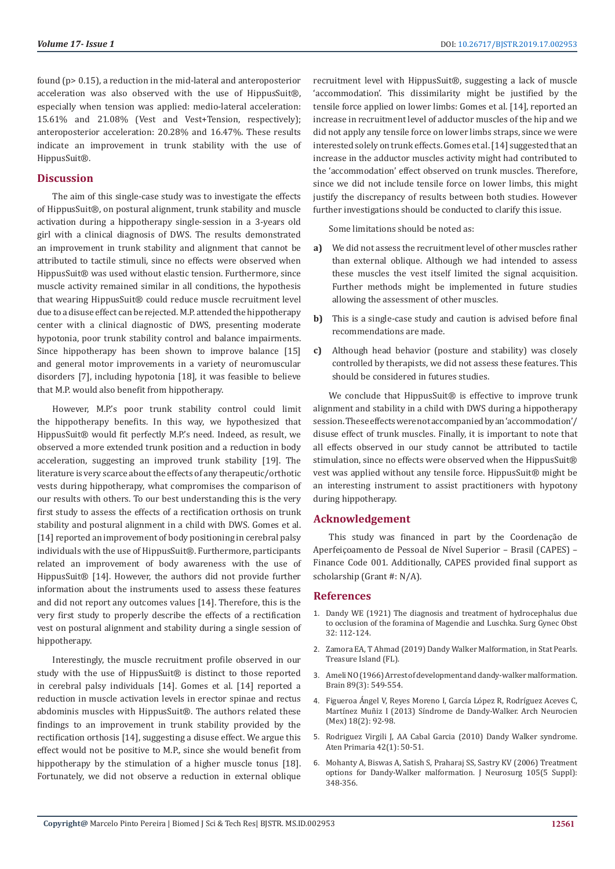found (p> 0.15), a reduction in the mid-lateral and anteroposterior acceleration was also observed with the use of HippusSuit®, especially when tension was applied: medio-lateral acceleration: 15.61% and 21.08% (Vest and Vest+Tension, respectively); anteroposterior acceleration: 20.28% and 16.47%. These results indicate an improvement in trunk stability with the use of HippusSuit®.

# **Discussion**

The aim of this single-case study was to investigate the effects of HippusSuit®, on postural alignment, trunk stability and muscle activation during a hippotherapy single-session in a 3-years old girl with a clinical diagnosis of DWS. The results demonstrated an improvement in trunk stability and alignment that cannot be attributed to tactile stimuli, since no effects were observed when HippusSuit® was used without elastic tension. Furthermore, since muscle activity remained similar in all conditions, the hypothesis that wearing HippusSuit® could reduce muscle recruitment level due to a disuse effect can be rejected. M.P. attended the hippotherapy center with a clinical diagnostic of DWS, presenting moderate hypotonia, poor trunk stability control and balance impairments. Since hippotherapy has been shown to improve balance [15] and general motor improvements in a variety of neuromuscular disorders [7], including hypotonia [18], it was feasible to believe that M.P. would also benefit from hippotherapy.

However, M.P.'s poor trunk stability control could limit the hippotherapy benefits. In this way, we hypothesized that HippusSuit® would fit perfectly M.P.'s need. Indeed, as result, we observed a more extended trunk position and a reduction in body acceleration, suggesting an improved trunk stability [19]. The literature is very scarce about the effects of any therapeutic/orthotic vests during hippotherapy, what compromises the comparison of our results with others. To our best understanding this is the very first study to assess the effects of a rectification orthosis on trunk stability and postural alignment in a child with DWS. Gomes et al. [14] reported an improvement of body positioning in cerebral palsy individuals with the use of HippusSuit®. Furthermore, participants related an improvement of body awareness with the use of HippusSuit® [14]. However, the authors did not provide further information about the instruments used to assess these features and did not report any outcomes values [14]. Therefore, this is the very first study to properly describe the effects of a rectification vest on postural alignment and stability during a single session of hippotherapy.

Interestingly, the muscle recruitment profile observed in our study with the use of HippusSuit® is distinct to those reported in cerebral palsy individuals [14]. Gomes et al. [14] reported a reduction in muscle activation levels in erector spinae and rectus abdominis muscles with HippusSuit®. The authors related these findings to an improvement in trunk stability provided by the rectification orthosis [14], suggesting a disuse effect. We argue this effect would not be positive to M.P., since she would benefit from hippotherapy by the stimulation of a higher muscle tonus [18]. Fortunately, we did not observe a reduction in external oblique recruitment level with HippusSuit®, suggesting a lack of muscle 'accommodation'. This dissimilarity might be justified by the tensile force applied on lower limbs: Gomes et al. [14], reported an increase in recruitment level of adductor muscles of the hip and we did not apply any tensile force on lower limbs straps, since we were interested solely on trunk effects. Gomes et al. [14] suggested that an increase in the adductor muscles activity might had contributed to the 'accommodation' effect observed on trunk muscles. Therefore, since we did not include tensile force on lower limbs, this might justify the discrepancy of results between both studies. However further investigations should be conducted to clarify this issue.

Some limitations should be noted as:

- **a)** We did not assess the recruitment level of other muscles rather than external oblique. Although we had intended to assess these muscles the vest itself limited the signal acquisition. Further methods might be implemented in future studies allowing the assessment of other muscles.
- **b)** This is a single-case study and caution is advised before final recommendations are made.
- **c)** Although head behavior (posture and stability) was closely controlled by therapists, we did not assess these features. This should be considered in futures studies.

We conclude that HippusSuit® is effective to improve trunk alignment and stability in a child with DWS during a hippotherapy session. These effects were not accompanied by an 'accommodation'/ disuse effect of trunk muscles. Finally, it is important to note that all effects observed in our study cannot be attributed to tactile stimulation, since no effects were observed when the HippusSuit® vest was applied without any tensile force. HippusSuit® might be an interesting instrument to assist practitioners with hypotony during hippotherapy.

# **Acknowledgement**

This study was financed in part by the Coordenação de Aperfeiçoamento de Pessoal de Nível Superior – Brasil (CAPES) – Finance Code 001. Additionally, CAPES provided final support as scholarship (Grant #: N/A).

### **References**

- 1. Dandy WE (1921) The diagnosis and treatment of hydrocephalus due to occlusion of the foramina of Magendie and Luschka. Surg Gynec Obst 32: 112-124.
- 2. [Zamora EA, T Ahmad \(2019\) Dandy Walker Malformation, in Stat Pearls.](https://www.ncbi.nlm.nih.gov/books/NBK538197/) [Treasure Island \(FL\).](https://www.ncbi.nlm.nih.gov/books/NBK538197/)
- 3. [Ameli NO \(1966\) Arrest of development and dandy-walker malformation.](https://academic.oup.com/brain/article-abstract/89/3/549/313074?redirectedFrom=fulltext) [Brain 89\(3\): 549-554.](https://academic.oup.com/brain/article-abstract/89/3/549/313074?redirectedFrom=fulltext)
- 4. [Figueroa Ángel V, Reyes Moreno I, García López R, Rodríguez Aceves C,](https://www.medigraphic.com/cgi-bin/new/resumen.cgi?IDARTICULO=47876) [Martínez Muñiz I \(2013\) Síndrome de Dandy-Walker. Arch Neurocien](https://www.medigraphic.com/cgi-bin/new/resumen.cgi?IDARTICULO=47876) [\(Mex\) 18\(2\): 92-98.](https://www.medigraphic.com/cgi-bin/new/resumen.cgi?IDARTICULO=47876)
- 5. [Rodriguez Virgili J, AA Cabal Garcia \(2010\) Dandy Walker syndrome.](https://www.ncbi.nlm.nih.gov/pubmed/19446922) [Aten Primaria 42\(1\): 50-51.](https://www.ncbi.nlm.nih.gov/pubmed/19446922)
- 6. [Mohanty A, Biswas A, Satish S, Praharaj SS, Sastry KV \(2006\) Treatment](https://www.ncbi.nlm.nih.gov/pubmed/17328256) [options for Dandy-Walker malformation. J Neurosurg 105\(5 Suppl\):](https://www.ncbi.nlm.nih.gov/pubmed/17328256) [348-356.](https://www.ncbi.nlm.nih.gov/pubmed/17328256)